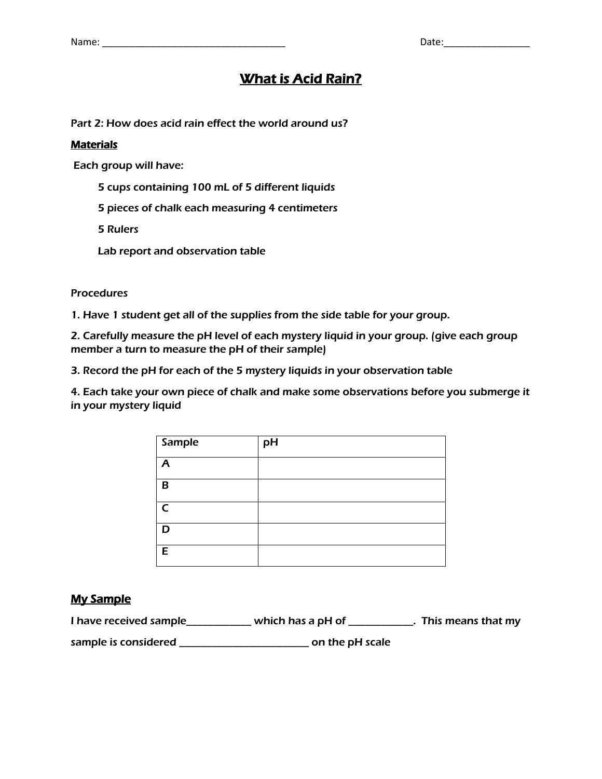# **What is Acid Rain?**

Part 2: How does acid rain effect the world around us?

### **Materials**

Each group will have:

- 5 cups containing 100 mL of 5 different liquids
- 5 pieces of chalk each measuring 4 centimeters

5 Rulers

Lab report and observation table

#### **Procedures**

1. Have 1 student get all of the supplies from the side table for your group.

2. Carefully measure the pH level of each mystery liquid in your group. (give each group member a turn to measure the pH of their sample)

3. Record the pH for each of the 5 mystery liquids in your observation table

4. Each take your own piece of chalk and make some observations before you submerge it in your mystery liquid

| Sample         | pH |
|----------------|----|
| $\overline{A}$ |    |
| В              |    |
| $\epsilon$     |    |
| ח              |    |
| Е              |    |

#### My Sample

| I have received sample | which has a pH of [ | . This means that my |
|------------------------|---------------------|----------------------|
| sample is considered   | on the pH scale     |                      |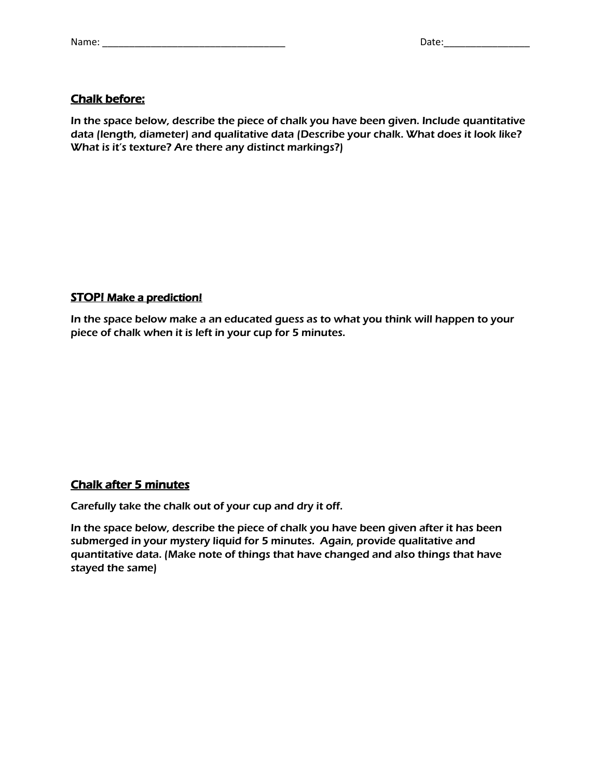## Chalk before:

In the space below, describe the piece of chalk you have been given. Include quantitative data (length, diameter) and qualitative data (Describe your chalk. What does it look like? What is it's texture? Are there any distinct markings?)

## STOP! Make a prediction!

In the space below make a an educated guess as to what you think will happen to your piece of chalk when it is left in your cup for 5 minutes.

### Chalk after 5 minutes

Carefully take the chalk out of your cup and dry it off.

In the space below, describe the piece of chalk you have been given after it has been submerged in your mystery liquid for 5 minutes. Again, provide qualitative and quantitative data. (Make note of things that have changed and also things that have stayed the same)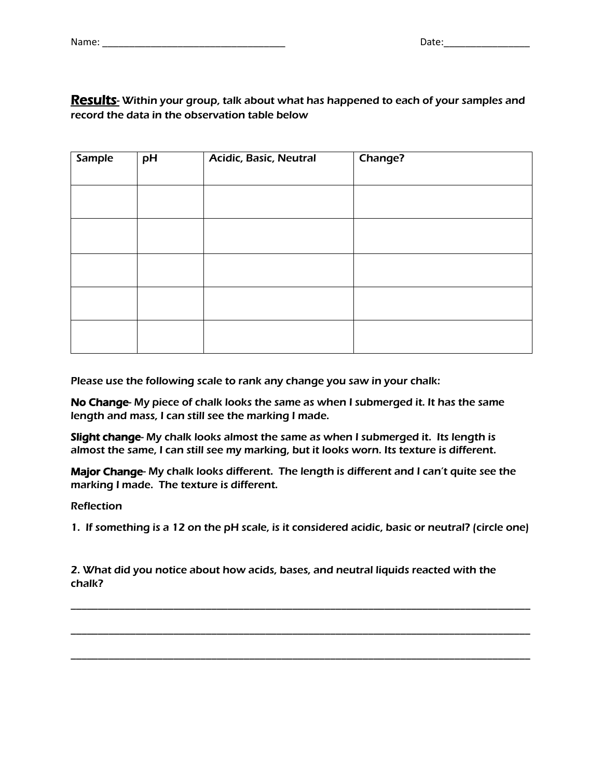# **Results**- Within your group, talk about what has happened to each of your samples and record the data in the observation table below

| <b>Sample</b> | pH | <b>Acidic, Basic, Neutral</b> | Change? |
|---------------|----|-------------------------------|---------|
|               |    |                               |         |
|               |    |                               |         |
|               |    |                               |         |
|               |    |                               |         |
|               |    |                               |         |
|               |    |                               |         |
|               |    |                               |         |
|               |    |                               |         |
|               |    |                               |         |
|               |    |                               |         |
|               |    |                               |         |

Please use the following scale to rank any change you saw in your chalk:

No Change- My piece of chalk looks the same as when I submerged it. It has the same length and mass, I can still see the marking I made.

Slight change- My chalk looks almost the same as when I submerged it. Its length is almost the same, I can still see my marking, but it looks worn. Its texture is different.

Major Change- My chalk looks different. The length is different and I can't quite see the marking I made. The texture is different.

Reflection

1. If something is a 12 on the pH scale, is it considered acidic, basic or neutral? (circle one)

\_\_\_\_\_\_\_\_\_\_\_\_\_\_\_\_\_\_\_\_\_\_\_\_\_\_\_\_\_\_\_\_\_\_\_\_\_\_\_\_\_\_\_\_\_\_\_\_\_\_\_\_\_\_\_\_\_\_\_\_\_\_\_\_\_\_\_\_\_\_\_\_\_\_\_\_\_\_\_\_\_\_\_\_\_

\_\_\_\_\_\_\_\_\_\_\_\_\_\_\_\_\_\_\_\_\_\_\_\_\_\_\_\_\_\_\_\_\_\_\_\_\_\_\_\_\_\_\_\_\_\_\_\_\_\_\_\_\_\_\_\_\_\_\_\_\_\_\_\_\_\_\_\_\_\_\_\_\_\_\_\_\_\_\_\_\_\_\_\_\_

\_\_\_\_\_\_\_\_\_\_\_\_\_\_\_\_\_\_\_\_\_\_\_\_\_\_\_\_\_\_\_\_\_\_\_\_\_\_\_\_\_\_\_\_\_\_\_\_\_\_\_\_\_\_\_\_\_\_\_\_\_\_\_\_\_\_\_\_\_\_\_\_\_\_\_\_\_\_\_\_\_\_\_\_\_

2. What did you notice about how acids, bases, and neutral liquids reacted with the chalk?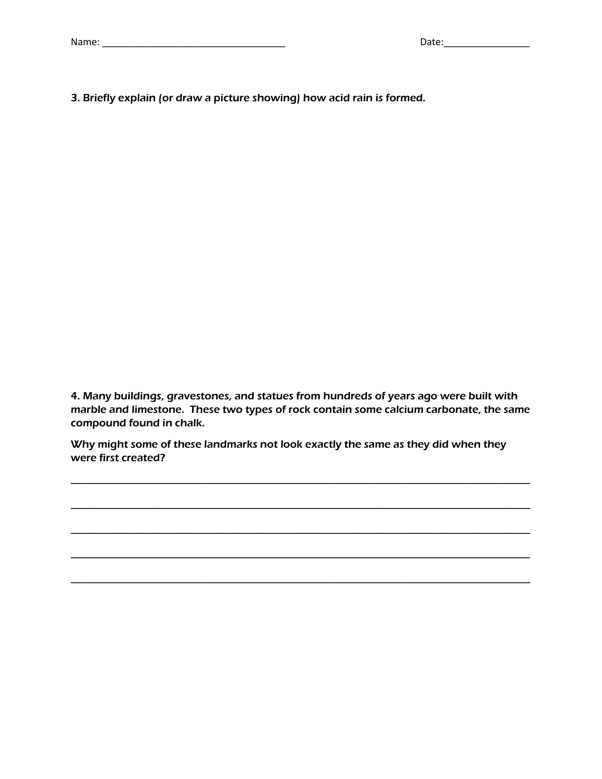|  | Name |  |
|--|------|--|
|  |      |  |

3. Briefly explain (or draw a picture showing) how acid rain is formed.

4. Many buildings, gravestones, and statues from hundreds of years ago were built with marble and limestone. These two types of rock contain some calcium carbonate, the same compound found in chalk.

\_\_\_\_\_\_\_\_\_\_\_\_\_\_\_\_\_\_\_\_\_\_\_\_\_\_\_\_\_\_\_\_\_\_\_\_\_\_\_\_\_\_\_\_\_\_\_\_\_\_\_\_\_\_\_\_\_\_\_\_\_\_\_\_\_\_\_\_\_\_\_\_\_\_\_\_\_\_\_\_\_\_\_\_\_

\_\_\_\_\_\_\_\_\_\_\_\_\_\_\_\_\_\_\_\_\_\_\_\_\_\_\_\_\_\_\_\_\_\_\_\_\_\_\_\_\_\_\_\_\_\_\_\_\_\_\_\_\_\_\_\_\_\_\_\_\_\_\_\_\_\_\_\_\_\_\_\_\_\_\_\_\_\_\_\_\_\_\_\_\_

\_\_\_\_\_\_\_\_\_\_\_\_\_\_\_\_\_\_\_\_\_\_\_\_\_\_\_\_\_\_\_\_\_\_\_\_\_\_\_\_\_\_\_\_\_\_\_\_\_\_\_\_\_\_\_\_\_\_\_\_\_\_\_\_\_\_\_\_\_\_\_\_\_\_\_\_\_\_\_\_\_\_\_\_\_

\_\_\_\_\_\_\_\_\_\_\_\_\_\_\_\_\_\_\_\_\_\_\_\_\_\_\_\_\_\_\_\_\_\_\_\_\_\_\_\_\_\_\_\_\_\_\_\_\_\_\_\_\_\_\_\_\_\_\_\_\_\_\_\_\_\_\_\_\_\_\_\_\_\_\_\_\_\_\_\_\_\_\_\_\_

\_\_\_\_\_\_\_\_\_\_\_\_\_\_\_\_\_\_\_\_\_\_\_\_\_\_\_\_\_\_\_\_\_\_\_\_\_\_\_\_\_\_\_\_\_\_\_\_\_\_\_\_\_\_\_\_\_\_\_\_\_\_\_\_\_\_\_\_\_\_\_\_\_\_\_\_\_\_\_\_\_\_\_\_\_

Why might some of these landmarks not look exactly the same as they did when they were first created?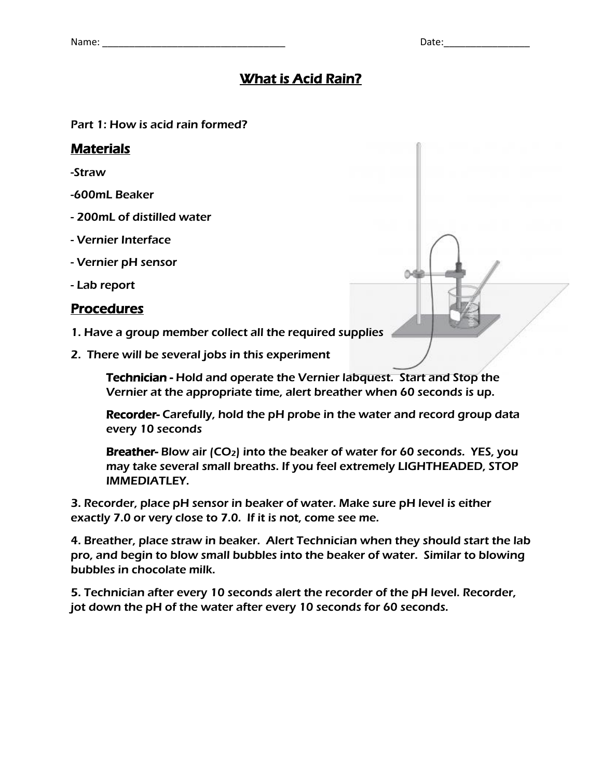Δ

# What is Acid Rain?

Part 1: How is acid rain formed?

# Materials

-Straw

- -600mL Beaker
- 200mL of distilled water
- Vernier Interface
- Vernier pH sensor
- Lab report

# Procedures

- 1. Have a group member collect all the required supplies
- 2. There will be several jobs in this experiment

Technician - Hold and operate the Vernier labquest. Start and Stop the Vernier at the appropriate time, alert breather when 60 seconds is up.

Recorder- Carefully, hold the pH probe in the water and record group data every 10 seconds

Breather- Blow air  $(CO_2)$  into the beaker of water for 60 seconds. YES, you may take several small breaths. If you feel extremely LIGHTHEADED, STOP IMMEDIATLEY.

3. Recorder, place pH sensor in beaker of water. Make sure pH level is either exactly 7.0 or very close to 7.0. If it is not, come see me.

4. Breather, place straw in beaker. Alert Technician when they should start the lab pro, and begin to blow small bubbles into the beaker of water. Similar to blowing bubbles in chocolate milk.

5. Technician after every 10 seconds alert the recorder of the pH level. Recorder, jot down the pH of the water after every 10 seconds for 60 seconds.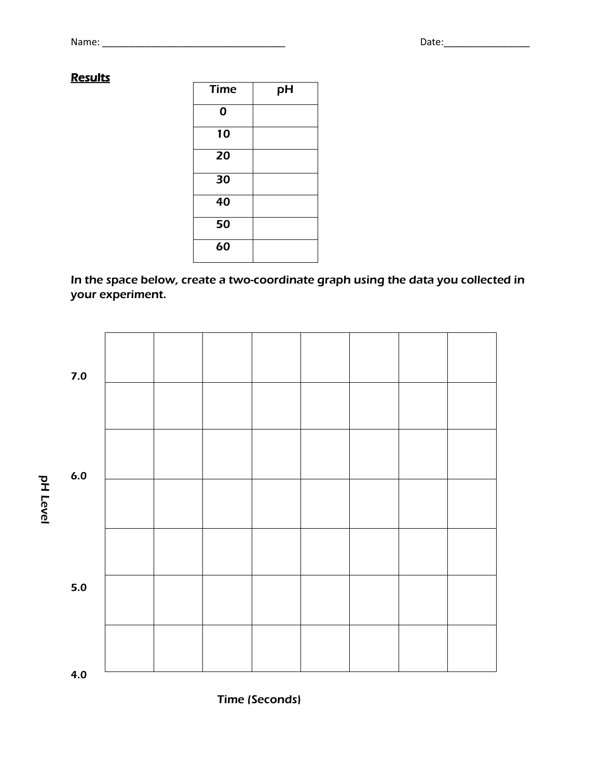# **Results**

| <b>Time</b> | рH |
|-------------|----|
| 0           |    |
| 10          |    |
| 20          |    |
| 30          |    |
| 40          |    |
| 50          |    |
| 60          |    |

In the space below, create a two-coordinate graph using the data you collected in your experiment.



Time (Seconds)